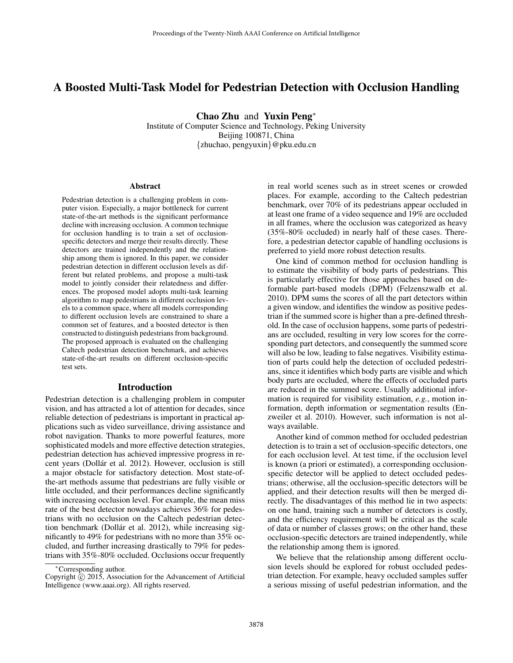# A Boosted Multi-Task Model for Pedestrian Detection with Occlusion Handling

Chao Zhu and Yuxin Peng<sup>∗</sup>

Institute of Computer Science and Technology, Peking University Beijing 100871, China {zhuchao, pengyuxin}@pku.edu.cn

#### Abstract

Pedestrian detection is a challenging problem in computer vision. Especially, a major bottleneck for current state-of-the-art methods is the significant performance decline with increasing occlusion. A common technique for occlusion handling is to train a set of occlusionspecific detectors and merge their results directly. These detectors are trained independently and the relationship among them is ignored. In this paper, we consider pedestrian detection in different occlusion levels as different but related problems, and propose a multi-task model to jointly consider their relatedness and differences. The proposed model adopts multi-task learning algorithm to map pedestrians in different occlusion levels to a common space, where all models corresponding to different occlusion levels are constrained to share a common set of features, and a boosted detector is then constructed to distinguish pedestrians from background. The proposed approach is evaluated on the challenging Caltech pedestrian detection benchmark, and achieves state-of-the-art results on different occlusion-specific test sets.

## Introduction

Pedestrian detection is a challenging problem in computer vision, and has attracted a lot of attention for decades, since reliable detection of pedestrians is important in practical applications such as video surveillance, driving assistance and robot navigation. Thanks to more powerful features, more sophisticated models and more effective detection strategies, pedestrian detection has achieved impressive progress in recent years (Dollár et al. 2012). However, occlusion is still a major obstacle for satisfactory detection. Most state-ofthe-art methods assume that pedestrians are fully visible or little occluded, and their performances decline significantly with increasing occlusion level. For example, the mean miss rate of the best detector nowadays achieves 36% for pedestrians with no occlusion on the Caltech pedestrian detection benchmark (Dollár et al. 2012), while increasing significantly to 49% for pedestrians with no more than 35% occluded, and further increasing drastically to 79% for pedestrians with 35%-80% occluded. Occlusions occur frequently

in real world scenes such as in street scenes or crowded places. For example, according to the Caltech pedestrian benchmark, over 70% of its pedestrians appear occluded in at least one frame of a video sequence and 19% are occluded in all frames, where the occlusion was categorized as heavy (35%-80% occluded) in nearly half of these cases. Therefore, a pedestrian detector capable of handling occlusions is preferred to yield more robust detection results.

One kind of common method for occlusion handling is to estimate the visibility of body parts of pedestrians. This is particularly effective for those approaches based on deformable part-based models (DPM) (Felzenszwalb et al. 2010). DPM sums the scores of all the part detectors within a given window, and identifies the window as positive pedestrian if the summed score is higher than a pre-defined threshold. In the case of occlusion happens, some parts of pedestrians are occluded, resulting in very low scores for the corresponding part detectors, and consequently the summed score will also be low, leading to false negatives. Visibility estimation of parts could help the detection of occluded pedestrians, since it identifies which body parts are visible and which body parts are occluded, where the effects of occluded parts are reduced in the summed score. Usually additional information is required for visibility estimation, *e.g.*, motion information, depth information or segmentation results (Enzweiler et al. 2010). However, such information is not always available.

Another kind of common method for occluded pedestrian detection is to train a set of occlusion-specific detectors, one for each occlusion level. At test time, if the occlusion level is known (a priori or estimated), a corresponding occlusionspecific detector will be applied to detect occluded pedestrians; otherwise, all the occlusion-specific detectors will be applied, and their detection results will then be merged directly. The disadvantages of this method lie in two aspects: on one hand, training such a number of detectors is costly, and the efficiency requirement will be critical as the scale of data or number of classes grows; on the other hand, these occlusion-specific detectors are trained independently, while the relationship among them is ignored.

We believe that the relationship among different occlusion levels should be explored for robust occluded pedestrian detection. For example, heavy occluded samples suffer a serious missing of useful pedestrian information, and the

<sup>∗</sup>Corresponding author.

Copyright  $\hat{C}$  2015, Association for the Advancement of Artificial Intelligence (www.aaai.org). All rights reserved.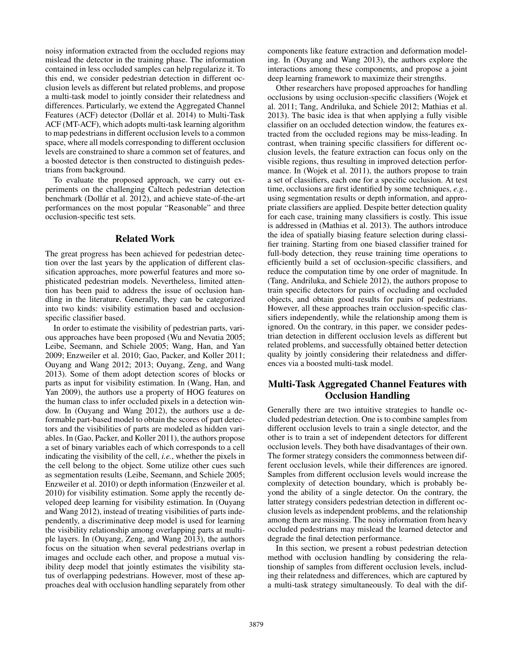noisy information extracted from the occluded regions may mislead the detector in the training phase. The information contained in less occluded samples can help regularize it. To this end, we consider pedestrian detection in different occlusion levels as different but related problems, and propose a multi-task model to jointly consider their relatedness and differences. Particularly, we extend the Aggregated Channel Features (ACF) detector (Dollár et al. 2014) to Multi-Task ACF (MT-ACF), which adopts multi-task learning algorithm to map pedestrians in different occlusion levels to a common space, where all models corresponding to different occlusion levels are constrained to share a common set of features, and a boosted detector is then constructed to distinguish pedestrians from background.

To evaluate the proposed approach, we carry out experiments on the challenging Caltech pedestrian detection benchmark (Dollár et al. 2012), and achieve state-of-the-art performances on the most popular "Reasonable" and three occlusion-specific test sets.

## Related Work

The great progress has been achieved for pedestrian detection over the last years by the application of different classification approaches, more powerful features and more sophisticated pedestrian models. Nevertheless, limited attention has been paid to address the issue of occlusion handling in the literature. Generally, they can be categorized into two kinds: visibility estimation based and occlusionspecific classifier based.

In order to estimate the visibility of pedestrian parts, various approaches have been proposed (Wu and Nevatia 2005; Leibe, Seemann, and Schiele 2005; Wang, Han, and Yan 2009; Enzweiler et al. 2010; Gao, Packer, and Koller 2011; Ouyang and Wang 2012; 2013; Ouyang, Zeng, and Wang 2013). Some of them adopt detection scores of blocks or parts as input for visibility estimation. In (Wang, Han, and Yan 2009), the authors use a property of HOG features on the human class to infer occluded pixels in a detection window. In (Ouyang and Wang 2012), the authors use a deformable part-based model to obtain the scores of part detectors and the visibilities of parts are modeled as hidden variables. In (Gao, Packer, and Koller 2011), the authors propose a set of binary variables each of which corresponds to a cell indicating the visibility of the cell, *i.e.*, whether the pixels in the cell belong to the object. Some utilize other cues such as segmentation results (Leibe, Seemann, and Schiele 2005; Enzweiler et al. 2010) or depth information (Enzweiler et al. 2010) for visibility estimation. Some apply the recently developed deep learning for visibility estimation. In (Ouyang and Wang 2012), instead of treating visibilities of parts independently, a discriminative deep model is used for learning the visibility relationship among overlapping parts at multiple layers. In (Ouyang, Zeng, and Wang 2013), the authors focus on the situation when several pedestrians overlap in images and occlude each other, and propose a mutual visibility deep model that jointly estimates the visibility status of overlapping pedestrians. However, most of these approaches deal with occlusion handling separately from other

components like feature extraction and deformation modeling. In (Ouyang and Wang 2013), the authors explore the interactions among these components, and propose a joint deep learning framework to maximize their strengths.

Other researchers have proposed approaches for handling occlusions by using occlusion-specific classifiers (Wojek et al. 2011; Tang, Andriluka, and Schiele 2012; Mathias et al. 2013). The basic idea is that when applying a fully visible classifier on an occluded detection window, the features extracted from the occluded regions may be miss-leading. In contrast, when training specific classifiers for different occlusion levels, the feature extraction can focus only on the visible regions, thus resulting in improved detection performance. In (Wojek et al. 2011), the authors propose to train a set of classifiers, each one for a specific occlusion. At test time, occlusions are first identified by some techniques, *e.g.*, using segmentation results or depth information, and appropriate classifiers are applied. Despite better detection quality for each case, training many classifiers is costly. This issue is addressed in (Mathias et al. 2013). The authors introduce the idea of spatially biasing feature selection during classifier training. Starting from one biased classifier trained for full-body detection, they reuse training time operations to efficiently build a set of occlusion-specific classifiers, and reduce the computation time by one order of magnitude. In (Tang, Andriluka, and Schiele 2012), the authors propose to train specific detectors for pairs of occluding and occluded objects, and obtain good results for pairs of pedestrians. However, all these approaches train occlusion-specific classifiers independently, while the relationship among them is ignored. On the contrary, in this paper, we consider pedestrian detection in different occlusion levels as different but related problems, and successfully obtained better detection quality by jointly considering their relatedness and differences via a boosted multi-task model.

# Multi-Task Aggregated Channel Features with Occlusion Handling

Generally there are two intuitive strategies to handle occluded pedestrian detection. One is to combine samples from different occlusion levels to train a single detector, and the other is to train a set of independent detectors for different occlusion levels. They both have disadvantages of their own. The former strategy considers the commonness between different occlusion levels, while their differences are ignored. Samples from different occlusion levels would increase the complexity of detection boundary, which is probably beyond the ability of a single detector. On the contrary, the latter strategy considers pedestrian detection in different occlusion levels as independent problems, and the relationship among them are missing. The noisy information from heavy occluded pedestrians may mislead the learned detector and degrade the final detection performance.

In this section, we present a robust pedestrian detection method with occlusion handling by considering the relationship of samples from different occlusion levels, including their relatedness and differences, which are captured by a multi-task strategy simultaneously. To deal with the dif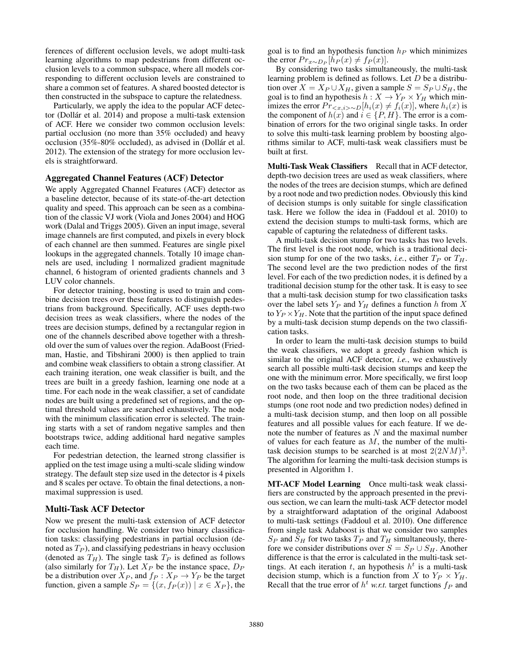ferences of different occlusion levels, we adopt multi-task learning algorithms to map pedestrians from different occlusion levels to a common subspace, where all models corresponding to different occlusion levels are constrained to share a common set of features. A shared boosted detector is then constructed in the subspace to capture the relatedness.

Particularly, we apply the idea to the popular ACF detector (Dollár et al. 2014) and propose a multi-task extension of ACF. Here we consider two common occlusion levels: partial occlusion (no more than 35% occluded) and heavy occlusion (35%-80% occluded), as advised in (Dollár et al. 2012). The extension of the strategy for more occlusion levels is straightforward.

## Aggregated Channel Features (ACF) Detector

We apply Aggregated Channel Features (ACF) detector as a baseline detector, because of its state-of-the-art detection quality and speed. This approach can be seen as a combination of the classic VJ work (Viola and Jones 2004) and HOG work (Dalal and Triggs 2005). Given an input image, several image channels are first computed, and pixels in every block of each channel are then summed. Features are single pixel lookups in the aggregated channels. Totally 10 image channels are used, including 1 normalized gradient magnitude channel, 6 histogram of oriented gradients channels and 3 LUV color channels.

For detector training, boosting is used to train and combine decision trees over these features to distinguish pedestrians from background. Specifically, ACF uses depth-two decision trees as weak classifiers, where the nodes of the trees are decision stumps, defined by a rectangular region in one of the channels described above together with a threshold over the sum of values over the region. AdaBoost (Friedman, Hastie, and Tibshirani 2000) is then applied to train and combine weak classifiers to obtain a strong classifier. At each training iteration, one weak classifier is built, and the trees are built in a greedy fashion, learning one node at a time. For each node in the weak classifier, a set of candidate nodes are built using a predefined set of regions, and the optimal threshold values are searched exhaustively. The node with the minimum classification error is selected. The training starts with a set of random negative samples and then bootstraps twice, adding additional hard negative samples each time.

For pedestrian detection, the learned strong classifier is applied on the test image using a multi-scale sliding window strategy. The default step size used in the detector is 4 pixels and 8 scales per octave. To obtain the final detections, a nonmaximal suppression is used.

## Multi-Task ACF Detector

Now we present the multi-task extension of ACF detector for occlusion handling. We consider two binary classification tasks: classifying pedestrians in partial occlusion (denoted as  $T_P$ ), and classifying pedestrians in heavy occlusion (denoted as  $T_H$ ). The single task  $T_P$  is defined as follows (also similarly for  $T_H$ ). Let  $X_P$  be the instance space,  $D_P$ be a distribution over  $X_P$ , and  $f_P : X_P \to Y_P$  be the target function, given a sample  $S_P = \{(x, f_P(x)) \mid x \in X_P\}$ , the goal is to find an hypothesis function  $h_P$  which minimizes the error  $Pr_{x \sim D_P}[h_P(x) \neq f_P(x)]$ .

By considering two tasks simultaneously, the multi-task learning problem is defined as follows. Let  $D$  be a distribution over  $X = X_P \cup X_H$ , given a sample  $S = S_P \cup S_H$ , the goal is to find an hypothesis  $h: X \to Y_P \times Y_H$  which minimizes the error  $Pr_{\langle x,i\rangle \sim D}[h_i(x) \neq f_i(x)]$ , where  $h_i(x)$  is the component of  $h(x)$  and  $i \in \{P, H\}$ . The error is a combination of errors for the two original single tasks. In order to solve this multi-task learning problem by boosting algorithms similar to ACF, multi-task weak classifiers must be built at first.

Multi-Task Weak Classifiers Recall that in ACF detector, depth-two decision trees are used as weak classifiers, where the nodes of the trees are decision stumps, which are defined by a root node and two prediction nodes. Obviously this kind of decision stumps is only suitable for single classification task. Here we follow the idea in (Faddoul et al. 2010) to extend the decision stumps to multi-task forms, which are capable of capturing the relatedness of different tasks.

A multi-task decision stump for two tasks has two levels. The first level is the root node, which is a traditional decision stump for one of the two tasks, *i.e.*, either  $T_P$  or  $T_H$ . The second level are the two prediction nodes of the first level. For each of the two prediction nodes, it is defined by a traditional decision stump for the other task. It is easy to see that a multi-task decision stump for two classification tasks over the label sets  $Y_P$  and  $Y_H$  defines a function h from X to  $Y_P \times Y_H$ . Note that the partition of the input space defined by a multi-task decision stump depends on the two classification tasks.

In order to learn the multi-task decision stumps to build the weak classifiers, we adopt a greedy fashion which is similar to the original ACF detector, *i.e.*, we exhaustively search all possible multi-task decision stumps and keep the one with the minimum error. More specifically, we first loop on the two tasks because each of them can be placed as the root node, and then loop on the three traditional decision stumps (one root node and two prediction nodes) defined in a multi-task decision stump, and then loop on all possible features and all possible values for each feature. If we denote the number of features as  $N$  and the maximal number of values for each feature as  $M$ , the number of the multitask decision stumps to be searched is at most  $2(2NM)^3$ . The algorithm for learning the multi-task decision stumps is presented in Algorithm 1.

MT-ACF Model Learning Once multi-task weak classifiers are constructed by the approach presented in the previous section, we can learn the multi-task ACF detector model by a straightforward adaptation of the original Adaboost to multi-task settings (Faddoul et al. 2010). One difference from single task Adaboost is that we consider two samples  $S_P$  and  $S_H$  for two tasks  $T_P$  and  $T_H$  simultaneously, therefore we consider distributions over  $S = S_P \cup S_H$ . Another difference is that the error is calculated in the multi-task settings. At each iteration t, an hypothesis  $h<sup>t</sup>$  is a multi-task decision stump, which is a function from X to  $Y_P \times Y_H$ . Recall that the true error of  $h^t$  *w.r.t.* target functions  $f_P$  and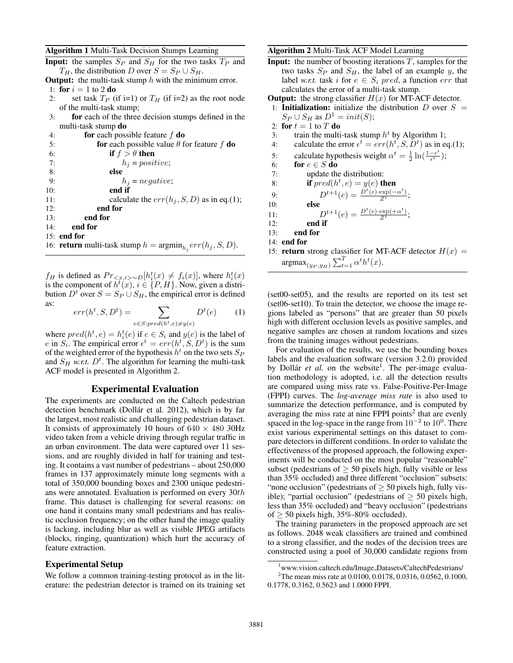#### Algorithm 1 Multi-Task Decision Stumps Learning

|  | <b>Input:</b> the samples $S_P$ and $S_H$ for the two tasks $T_P$ and |  |  |  |  |  |
|--|-----------------------------------------------------------------------|--|--|--|--|--|
|  | $T_H$ , the distribution D over $S = S_P \cup S_H$ .                  |  |  |  |  |  |
|  |                                                                       |  |  |  |  |  |

**Output:** the multi-task stump  $h$  with the minimum error. 1: for  $i = 1$  to 2 do

- 2: set task  $T_P$  (if i=1) or  $T_H$  (if i=2) as the root node of the multi-task stump;
- 3: for each of the three decision stumps defined in the multi-task stump do

| 4:  | for each possible feature $f$ do                                                      |
|-----|---------------------------------------------------------------------------------------|
| 5:  | <b>for</b> each possible value $\theta$ for feature f <b>do</b>                       |
| 6:  | if $f > \theta$ then                                                                  |
| 7:  | $h_i = positive;$                                                                     |
| 8:  | else                                                                                  |
| 9:  | $h_i = negative;$                                                                     |
| 10: | end if                                                                                |
| 11: | calculate the $err(h_i, S, D)$ as in eq.(1);                                          |
| 12: | end for                                                                               |
| 13: | end for                                                                               |
| 14: | end for                                                                               |
|     | $15:$ end for                                                                         |
|     | 16: <b>return</b> multi-task stump $h = \operatorname{argmin}_{h_i} err(h_j, S, D)$ . |
|     |                                                                                       |

 $f_H$  is defined as  $Pr_{\leq x,i> \sim D}[h_i^t(x) \neq f_i(x)]$ , where  $h_i^t(x)$ is the component of  $h^t(x)$ ,  $i \in \{P, H\}$ . Now, given a distribution  $D^t$  over  $S = S_P \cup S_H$ , the empirical error is defined as:

$$
err(h^t, S, D^t) = \sum_{e \in S: pred(h^t, e) \neq y(e)} D^t(e) \tag{1}
$$

where  $pred(h^t, e) = h_i^t(e)$  if  $e \in S_i$  and  $y(e)$  is the label of e in  $S_i$ . The empirical error  $\epsilon^t = err(h^t, S, D^t)$  is the sum of the weighted error of the hypothesis  $h^t$  on the two sets  $S_F$ and  $S_H$  w.r.t.  $D<sup>t</sup>$ . The algorithm for learning the multi-task ACF model is presented in Algorithm 2.

## Experimental Evaluation

The experiments are conducted on the Caltech pedestrian detection benchmark (Dollár et al. 2012), which is by far the largest, most realistic and challenging pedestrian dataset. It consists of approximately 10 hours of  $640 \times 480$  30Hz video taken from a vehicle driving through regular traffic in an urban environment. The data were captured over 11 sessions, and are roughly divided in half for training and testing. It contains a vast number of pedestrians – about 250,000 frames in 137 approximately minute long segments with a total of 350,000 bounding boxes and 2300 unique pedestrians were annotated. Evaluation is performed on every 30th frame. This dataset is challenging for several reasons: on one hand it contains many small pedestrians and has realistic occlusion frequency; on the other hand the image quality is lacking, including blur as well as visible JPEG artifacts (blocks, ringing, quantization) which hurt the accuracy of feature extraction.

## Experimental Setup

We follow a common training-testing protocol as in the literature: the pedestrian detector is trained on its training set

## Algorithm 2 Multi-Task ACF Model Learning

**Input:** the number of boosting iterations  $T$ , samples for the two tasks  $S_P$  and  $S_H$ , the label of an example y, the label *w.r.t.* task i for  $e \in S_i$  pred, a function err that calculates the error of a multi-task stump.

**Output:** the strong classifier  $H(x)$  for MT-ACF detector.

- 1: **Initialization:** initialize the distribution D over  $S =$  $S_P \cup S_H$  as  $D^1 = init(S)$ ;
- 2: for  $t = 1$  to T do
- 3: train the multi-task stump  $h^t$  by Algorithm 1;
- 4: calculate the error  $\epsilon^t = err(h^t, S, D^t)$  as in eq.(1);
- 5: calculate hypothesis weight  $\alpha^t = \frac{1}{2} \ln \left( \frac{1 \epsilon^t}{\epsilon^t} \right)$  $\frac{-\epsilon^{\kappa}}{\epsilon^t});$
- 6: for  $e \in S$  do
- 7: update the distribution:
- 8: **if**  $pred(h^t, e) = y(e)$  **then**

9: 
$$
D^{t+1}(e) = \frac{D^t(e) \cdot \exp(-\alpha^t)}{Z^t};
$$

- 10: else
- 11:  $D^{t+1}(e) = \frac{D^t(e) \cdot \exp(+\alpha^t)}{Z^t};$
- 12: end if
- 13: end for
- 14: end for
- 15: return strong classifier for MT-ACF detector  $H(x) =$  $\argmax_{(y_P, y_H)} \sum_{t=1}^T \alpha^t h^t(x)$ .

(set00-set05), and the results are reported on its test set (set06-set10). To train the detector, we choose the image regions labeled as "persons" that are greater than 50 pixels high with different occlusion levels as positive samples, and negative samples are chosen at random locations and sizes from the training images without pedestrians.

For evaluation of the results, we use the bounding boxes labels and the evaluation software (version 3.2.0) provided by Dollár et al. on the website<sup>1</sup>. The per-image evaluation methodology is adopted, i.e. all the detection results are compared using miss rate vs. False-Positive-Per-Image (FPPI) curves. The *log-average miss rate* is also used to summarize the detection performance, and is computed by averaging the miss rate at nine FPPI points<sup>2</sup> that are evenly spaced in the log-space in the range from  $10^{-2}$  to  $10^{0}$ . There exist various experimental settings on this dataset to compare detectors in different conditions. In order to validate the effectiveness of the proposed approach, the following experiments will be conducted on the most popular "reasonable" subset (pedestrians of  $\geq$  50 pixels high, fully visible or less than 35% occluded) and three different "occlusion" subsets: "none occlusion" (pedestrians of  $\geq$  50 pixels high, fully visible); "partial occlusion" (pedestrians of  $\geq$  50 pixels high, less than 35% occluded) and "heavy occlusion" (pedestrians of  $>$  50 pixels high, 35%-80% occluded).

The training parameters in the proposed approach are set as follows. 2048 weak classifiers are trained and combined to a strong classifier, and the nodes of the decision trees are constructed using a pool of 30,000 candidate regions from

<sup>1</sup>www.vision.caltech.edu/Image Datasets/CaltechPedestrians/

<sup>&</sup>lt;sup>2</sup>The mean miss rate at 0.0100, 0.0178, 0.0316, 0.0562, 0.1000, 0.1778, 0.3162, 0.5623 and 1.0000 FPPI.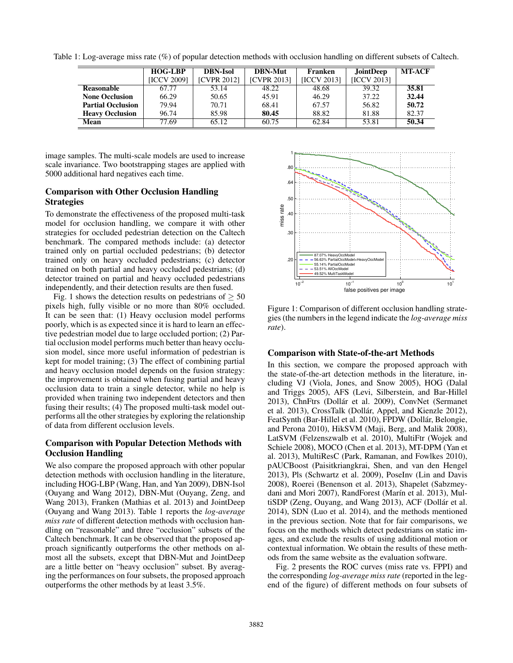Table 1: Log-average miss rate (%) of popular detection methods with occlusion handling on different subsets of Caltech.

|                          | <b>HOG-LBP</b>     | <b>DBN-Isol</b>    | <b>DBN-Mut</b>     | Franken            | <b>JointDeep</b> | <b>MT-ACF</b> |
|--------------------------|--------------------|--------------------|--------------------|--------------------|------------------|---------------|
|                          | <b>IICCV 20091</b> | <b>ICVPR 20121</b> | <b>ICVPR 20131</b> | <b>IICCV 20131</b> | IICCV 20131      |               |
| Reasonable               | 67.77              | 53.14              | 48.22              | 48.68              | 39.32            | 35.81         |
| <b>None Occlusion</b>    | 66.29              | 50.65              | 45.91              | 46.29              | 37.22            | 32.44         |
| <b>Partial Occlusion</b> | 79.94              | 70.71              | 68.41              | 67.57              | 56.82            | 50.72         |
| <b>Heavy Occlusion</b>   | 96.74              | 85.98              | 80.45              | 88.82              | 81.88            | 82.37         |
| Mean                     | 77.69              | 65.12              | 60.75              | 62.84              | 53.81            | 50.34         |

image samples. The multi-scale models are used to increase scale invariance. Two bootstrapping stages are applied with 5000 additional hard negatives each time.

## Comparison with Other Occlusion Handling **Strategies**

To demonstrate the effectiveness of the proposed multi-task model for occlusion handling, we compare it with other strategies for occluded pedestrian detection on the Caltech benchmark. The compared methods include: (a) detector trained only on partial occluded pedestrians; (b) detector trained only on heavy occluded pedestrians; (c) detector trained on both partial and heavy occluded pedestrians; (d) detector trained on partial and heavy occluded pedestrians independently, and their detection results are then fused.

Fig. 1 shows the detection results on pedestrians of  $\geq 50$ pixels high, fully visible or no more than 80% occluded. It can be seen that: (1) Heavy occlusion model performs poorly, which is as expected since it is hard to learn an effective pedestrian model due to large occluded portion; (2) Partial occlusion model performs much better than heavy occlusion model, since more useful information of pedestrian is kept for model training; (3) The effect of combining partial and heavy occlusion model depends on the fusion strategy: the improvement is obtained when fusing partial and heavy occlusion data to train a single detector, while no help is provided when training two independent detectors and then fusing their results; (4) The proposed multi-task model outperforms all the other strategies by exploring the relationship of data from different occlusion levels.

# Comparison with Popular Detection Methods with Occlusion Handling

We also compare the proposed approach with other popular detection methods with occlusion handling in the literature, including HOG-LBP (Wang, Han, and Yan 2009), DBN-Isol (Ouyang and Wang 2012), DBN-Mut (Ouyang, Zeng, and Wang 2013), Franken (Mathias et al. 2013) and JointDeep (Ouyang and Wang 2013). Table 1 reports the *log-average miss rate* of different detection methods with occlusion handling on "reasonable" and three "occlusion" subsets of the Caltech benchmark. It can be observed that the proposed approach significantly outperforms the other methods on almost all the subsets, except that DBN-Mut and JointDeep are a little better on "heavy occlusion" subset. By averaging the performances on four subsets, the proposed approach outperforms the other methods by at least 3.5%.



Figure 1: Comparison of different occlusion handling strategies (the numbers in the legend indicate the *log-average miss rate*).

## Comparison with State-of-the-art Methods

In this section, we compare the proposed approach with the state-of-the-art detection methods in the literature, including VJ (Viola, Jones, and Snow 2005), HOG (Dalal and Triggs 2005), AFS (Levi, Silberstein, and Bar-Hillel 2013), ChnFtrs (Dollár et al. 2009), ConvNet (Sermanet et al. 2013), CrossTalk (Dollár, Appel, and Kienzle 2012), FeatSynth (Bar-Hillel et al. 2010), FPDW (Dollár, Belongie, and Perona 2010), HikSVM (Maji, Berg, and Malik 2008), LatSVM (Felzenszwalb et al. 2010), MultiFtr (Wojek and Schiele 2008), MOCO (Chen et al. 2013), MT-DPM (Yan et al. 2013), MultiResC (Park, Ramanan, and Fowlkes 2010), pAUCBoost (Paisitkriangkrai, Shen, and van den Hengel 2013), Pls (Schwartz et al. 2009), PoseInv (Lin and Davis 2008), Roerei (Benenson et al. 2013), Shapelet (Sabzmeydani and Mori 2007), RandForest (Marín et al. 2013), MultiSDP (Zeng, Ouyang, and Wang 2013), ACF (Dollár et al. 2014), SDN (Luo et al. 2014), and the methods mentioned in the previous section. Note that for fair comparisons, we focus on the methods which detect pedestrians on static images, and exclude the results of using additional motion or contextual information. We obtain the results of these methods from the same website as the evaluation software.

Fig. 2 presents the ROC curves (miss rate vs. FPPI) and the corresponding *log-average miss rate* (reported in the legend of the figure) of different methods on four subsets of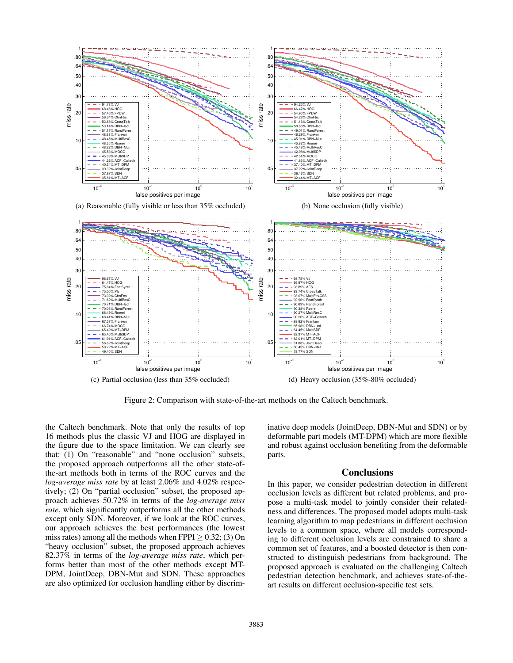

Figure 2: Comparison with state-of-the-art methods on the Caltech benchmark.

the Caltech benchmark. Note that only the results of top 16 methods plus the classic VJ and HOG are displayed in the figure due to the space limitation. We can clearly see that: (1) On "reasonable" and "none occlusion" subsets, the proposed approach outperforms all the other state-ofthe-art methods both in terms of the ROC curves and the *log-average miss rate* by at least 2.06% and 4.02% respectively; (2) On "partial occlusion" subset, the proposed approach achieves 50.72% in terms of the *log-average miss rate*, which significantly outperforms all the other methods except only SDN. Moreover, if we look at the ROC curves, our approach achieves the best performances (the lowest miss rates) among all the methods when  $FPPI > 0.32$ ; (3) On "heavy occlusion" subset, the proposed approach achieves 82.37% in terms of the *log-average miss rate*, which performs better than most of the other methods except MT-DPM, JointDeep, DBN-Mut and SDN. These approaches are also optimized for occlusion handling either by discriminative deep models (JointDeep, DBN-Mut and SDN) or by deformable part models (MT-DPM) which are more flexible and robust against occlusion benefiting from the deformable parts.

## Conclusions

In this paper, we consider pedestrian detection in different occlusion levels as different but related problems, and propose a multi-task model to jointly consider their relatedness and differences. The proposed model adopts multi-task learning algorithm to map pedestrians in different occlusion levels to a common space, where all models corresponding to different occlusion levels are constrained to share a common set of features, and a boosted detector is then constructed to distinguish pedestrians from background. The proposed approach is evaluated on the challenging Caltech pedestrian detection benchmark, and achieves state-of-theart results on different occlusion-specific test sets.